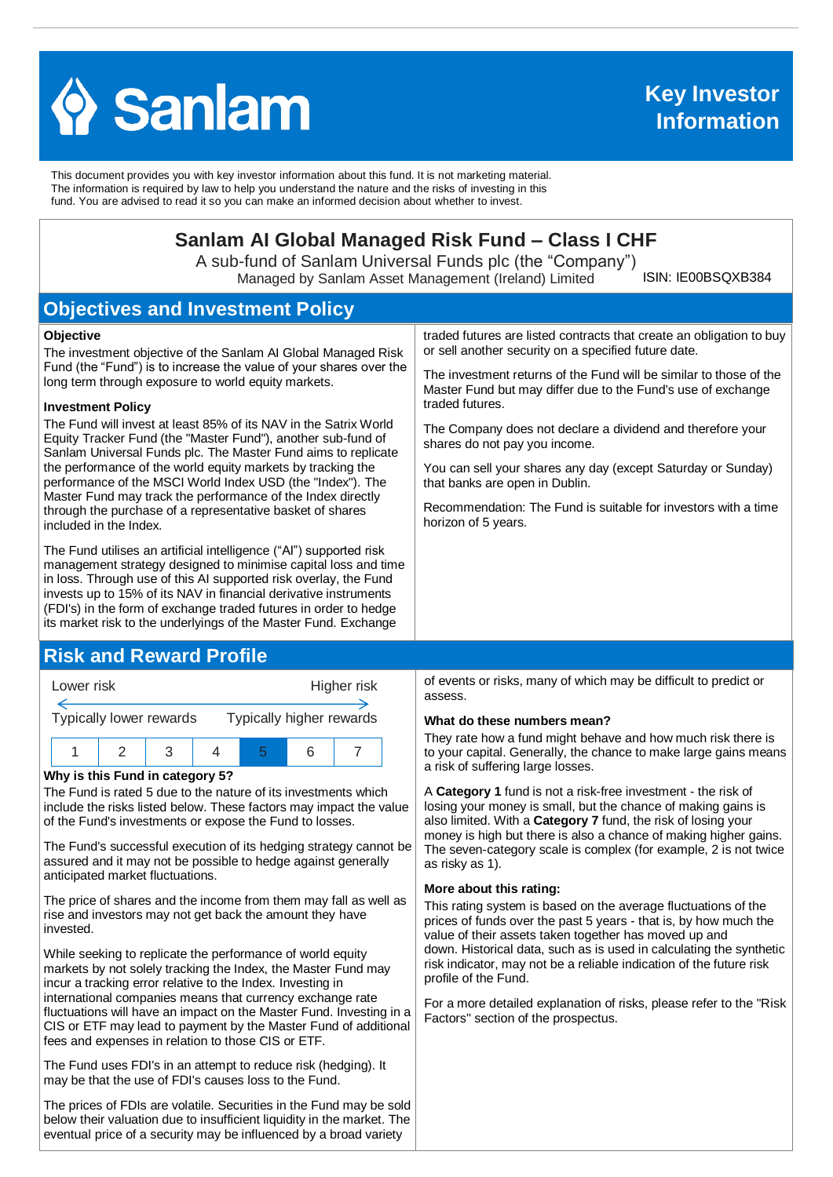

This document provides you with key investor information about this fund. It is not marketing material. The information is required by law to help you understand the nature and the risks of investing in this fund. You are advised to read it so you can make an informed decision about whether to invest.

# **Sanlam AI Global Managed Risk Fund – Class I CHF**

A sub-fund of Sanlam Universal Funds plc (the "Company") Managed by Sanlam Asset Management (Ireland) Limited

ISIN: IE00BSQXB384

# **Objectives and Investment Policy**

#### **Objective**

The investment objective of the Sanlam AI Global Managed Risk Fund (the "Fund") is to increase the value of your shares over the long term through exposure to world equity markets.

#### **Investment Policy**

The Fund will invest at least 85% of its NAV in the Satrix World Equity Tracker Fund (the "Master Fund"), another sub-fund of Sanlam Universal Funds plc. The Master Fund aims to replicate the performance of the world equity markets by tracking the performance of the MSCI World Index USD (the "Index"). The Master Fund may track the performance of the Index directly through the purchase of a representative basket of shares included in the Index.

The Fund utilises an artificial intelligence ("AI") supported risk management strategy designed to minimise capital loss and time in loss. Through use of this AI supported risk overlay, the Fund invests up to 15% of its NAV in financial derivative instruments (FDI's) in the form of exchange traded futures in order to hedge its market risk to the underlyings of the Master Fund. Exchange

## **Risk and Reward Profile**



#### **Why is this Fund in category 5?**

The Fund is rated 5 due to the nature of its investments which include the risks listed below. These factors may impact the value of the Fund's investments or expose the Fund to losses.

The Fund's successful execution of its hedging strategy cannot be assured and it may not be possible to hedge against generally anticipated market fluctuations.

The price of shares and the income from them may fall as well as rise and investors may not get back the amount they have invested.

While seeking to replicate the performance of world equity markets by not solely tracking the Index, the Master Fund may incur a tracking error relative to the Index. Investing in international companies means that currency exchange rate fluctuations will have an impact on the Master Fund. Investing in a CIS or ETF may lead to payment by the Master Fund of additional fees and expenses in relation to those CIS or ETF.

The Fund uses FDI's in an attempt to reduce risk (hedging). It may be that the use of FDI's causes loss to the Fund.

The prices of FDIs are volatile. Securities in the Fund may be sold below their valuation due to insufficient liquidity in the market. The eventual price of a security may be influenced by a broad variety

traded futures are listed contracts that create an obligation to buy or sell another security on a specified future date.

The investment returns of the Fund will be similar to those of the Master Fund but may differ due to the Fund's use of exchange traded futures.

The Company does not declare a dividend and therefore your shares do not pay you income.

You can sell your shares any day (except Saturday or Sunday) that banks are open in Dublin.

Recommendation: The Fund is suitable for investors with a time horizon of 5 years.

of events or risks, many of which may be difficult to predict or assess.

#### **What do these numbers mean?**

They rate how a fund might behave and how much risk there is to your capital. Generally, the chance to make large gains means a risk of suffering large losses.

A **Category 1** fund is not a risk-free investment - the risk of losing your money is small, but the chance of making gains is also limited. With a **Category 7** fund, the risk of losing your money is high but there is also a chance of making higher gains. The seven-category scale is complex (for example, 2 is not twice as risky as 1).

#### **More about this rating:**

This rating system is based on the average fluctuations of the prices of funds over the past 5 years - that is, by how much the value of their assets taken together has moved up and down. Historical data, such as is used in calculating the synthetic risk indicator, may not be a reliable indication of the future risk profile of the Fund.

For a more detailed explanation of risks, please refer to the ''Risk Factors'' section of the prospectus.